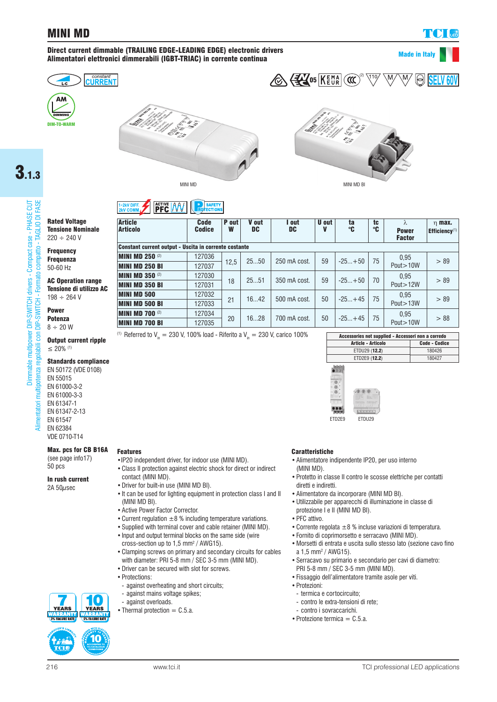## MINI MD

 $\ln m$ ax.

#### Direct current dimmable (TRAILING EDGE-LEADING EDGE) electronic drivers Alimentatori elettronici dimmerabili (IGBT-TRIAC) in corrente continua







**PFC AV** 

MINI MD BI

Code

SAFETY<br>ECTIONS



 $\frac{110}{2}$ 

05  $\overline{\mathsf{K}}$   $\overline{\mathsf{EMR}}$   $\left(\overline{\mathfrak{CC}}\right)^{\scriptscriptstyle(2)}$ 

# 3.1.3

# multipower DIP-SWITCH drivers - Compact case - PHASE CUT<br>golabili con DIP-SWITCH - Formato compatto - TAGLIO DI FASE Dimmable multipower DIP-SWITCH drivers - Compact case - PHASE CUT Alimentatori multipotenza regolabili con DIP-SWITCH - Formato compatto - TAGLIO DI FASE potenza regolabili con Dimmable

Ē

Alimentatori

Rated Voltage Tensione Nominale  $220 \div 240$  V

**Article** 

**Frequency** 

Frequenza 50-60 Hz

AC Operation range Tensione di utilizzo AC  $198 \div 264$  V

#### Power Potenza  $8 \div 20$  W

Output current ripple ≤ 20% (1)

#### Standards compliance

EN 50172 (VDE 0108) EN 55015 EN 61000-3-2 EN 61000-3-3 EN 61347-1 EN 61347-2-13 EN 61547 EN 62384 VDE 0710-T14

#### Max. pcs for CB B16A Features

(see page info17) 50 pcs

### In rush current

2A 50µsec

| <b>Article</b><br><b>Articolo</b>                     | <b>Code</b><br><b>Codice</b> | P out<br>W | V out<br>DC | I out<br>DC  | U out<br>V | ta<br>°C | tc<br>℃ | λ<br><b>Power</b><br><b>Factor</b> | $\eta$ max.<br>Efficiency <sup>(1)</sup> |
|-------------------------------------------------------|------------------------------|------------|-------------|--------------|------------|----------|---------|------------------------------------|------------------------------------------|
| Constant current output - Uscita in corrente costante |                              |            |             |              |            |          |         |                                    |                                          |
| <b>MINI MD 250 (2)</b>                                | 127036                       | 12.5       | 2550        | 250 mA cost. | 59         | $-25+50$ | 75      | 0.95                               | > 89                                     |
| <b>MINI MD 250 BI</b>                                 | 127037                       |            |             |              |            |          |         | Pout > 10W                         |                                          |
| <b>MINI MD 350 (2)</b>                                | 127030                       | 18         | 2551        | 350 mA cost. | 59         | $-25+50$ | 70      | 0.95                               | > 89                                     |
| <b>MINI MD 350 BI</b>                                 | 127031                       |            |             |              |            |          |         | Pout > 12W                         |                                          |
| <b>MINI MD 500</b>                                    | 127032                       | 21         | 1642        | 500 mA cost. | 50         | $-25+45$ | 75      | 0.95                               | > 89                                     |
| <b>MINI MD 500 BI</b>                                 | 127033                       |            |             |              |            |          |         | Pout > 13W                         |                                          |
| <b>MINI MD 700 (2)</b>                                | 127034                       | 20         | 1628        | 700 mA cost. | 50         | $-25+45$ | 75      | 0.95                               | > 88                                     |
| <b>MINI MD 700 BI</b>                                 | 127035                       |            |             |              |            |          |         | Pout > 10W                         |                                          |

(1) Referred to V<sub>in</sub> = 230 V, 100% load - Riferito a V<sub>in</sub> = 230 V, carico 100%

| Accessories not supplied - Accessori non a corredo |                      |  |  |  |  |  |
|----------------------------------------------------|----------------------|--|--|--|--|--|
| Article - Articolo                                 | <b>Code - Codice</b> |  |  |  |  |  |
| ETDU29 (12.2)                                      | 180426               |  |  |  |  |  |
| ETD2E9 (12.2)                                      | 180427               |  |  |  |  |  |



- •IP20 independent driver, for indoor use (MINI MD). •Class II protection against electric shock for direct or indirect contact (MINI MD).
- •Driver for built-in use (MINI MD BI).
- •It can be used for lighting equipment in protection class I and II (MINI MD BI).
- •Active Power Factor Corrector.
- Current regulation  $\pm 8$  % including temperature variations.
- •Supplied with terminal cover and cable retainer (MINI MD).
- •Input and output terminal blocks on the same side (wire cross-section up to 1,5 mm2 / AWG15).
- •Clamping screws on primary and secondary circuits for cables with diameter: PRI 5-8 mm / SEC 3-5 mm (MINI MD).
- •Driver can be secured with slot for screws.
- •Protections:
- against overheating and short circuits;
- against mains voltage spikes;
- 0 - against overloads. **YEARS** 
	- Thermal protection  $=$  C.5.a.

#### Caratteristiche

- •Alimentatore indipendente IP20, per uso interno (MINI MD).
- •Protetto in classe II contro le scosse elettriche per contatti diretti e indiretti.
- •Alimentatore da incorporare (MINI MD BI).
- •Utilizzabile per apparecchi di illuminazione in classe di protezione I e II (MINI MD BI).
- PFC attivo.
- •Corrente regolata ±8 % incluse variazioni di temperatura.
- •Fornito di coprimorsetto e serracavo (MINI MD).
- •Morsetti di entrata e uscita sullo stesso lato (sezione cavo fino a 1,5 mm<sup>2</sup> / AWG15).
- •Serracavo su primario e secondario per cavi di diametro: PRI 5-8 mm / SEC 3-5 mm (MINI MD).
- •Fissaggio dell'alimentatore tramite asole per viti.
- •Protezioni:
	- termica e cortocircuito;
	- contro le extra-tensioni di rete;
	- contro i sovraccarichi.
	- Protezione termica =  $C.5.a$ .



**YEARS** 

**SAN WALLER** 

**NARRANT**<br>**IS% FAILURE RATE**